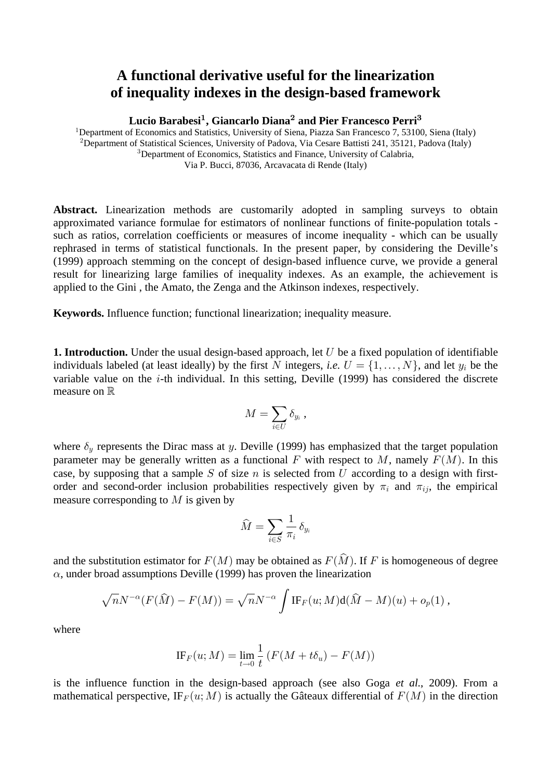## A functional derivative useful for the linearization **of inequality indexes in the design-based framework**

Lucio Barabesi<sup>1</sup>, Giancarlo Diana<sup>2</sup> and Pier Francesco Perri<sup>3</sup>

<sup>1</sup>Department of Economics and Statistics, University of Siena, Piazza San Francesco 7, 53100, Siena (Italy) <sup>2</sup>Department of Statistical Sciences, University of Padova, Via Cesare Battisti 241, 35121, Padova (Italy) <sup>3</sup>Department of Economics, Statistics and Finance, University of Calabria, Via P. Bucci, 87036, Arcavacata di Rende (Italy)

Abstract. Linearization methods are customarily adopted in sampling surveys to obtain approximated variance formulae for estimators of nonlinear functions of finite-population totals such as ratios, correlation coefficients or measures of income inequality - which can be usually rephrased in terms of statistical functionals. In the present paper, by considering the Deville's (1999) approach stemming on the concept of design-based influence curve, we provide a general result for linearizing large families of inequality indexes. As an example, the achievement is applied to the Gini , the Amato, the Zenga and the Atkinson indexes, respectively.

**Keywords.** Influence function; functional linearization; inequality measure.

**1. Introduction.** Under the usual design-based approach, let  $U$  be a fixed population of identifiable individuals labeled (at least ideally) by the first N integers, *i.e.*  $U = \{1, ..., N\}$ , and let  $y_i$  be the variable value on the  $i$ -th individual. In this setting, Deville (1999) has considered the discrete measure on  $\mathbb R$ 

$$
M=\sum_{i\in U}\delta_{y_i}\ ,
$$

where  $\delta_y$  represents the Dirac mass at y. Deville (1999) has emphasized that the target population parameter may be generally written as a functional F with respect to M, namely  $F(M)$ . In this case, by supposing that a sample S of size n is selected from U according to a design with firstorder and second-order inclusion probabilities respectively given by  $\pi_i$  and  $\pi_{ij}$ , the empirical measure corresponding to  $M$  is given by

$$
\widehat{M} = \sum_{i \in S} \frac{1}{\pi_i} \, \delta_{y_i}
$$

and the substitution estimator for  $F(M)$  may be obtained as  $F(\widehat{M})$ . If F is homogeneous of degree  $\alpha$ , under broad assumptions Deville (1999) has proven the linearization

$$
\sqrt{n}N^{-\alpha}(F(\widehat{M})-F(M))=\sqrt{n}N^{-\alpha}\int \text{IF}_F(u;M)\text{d}(\widehat{M}-M)(u)+o_p(1),
$$

where

$$
\text{IF}_F(u; M) = \lim_{t \to 0} \frac{1}{t} \left( F(M + t\delta_u) - F(M) \right)
$$

is the influence function in the design-based approach (see also Goga *et al.*, 2009). From a mathematical perspective,  $IF_F(u; M)$  is actually the Gâteaux differential of  $F(M)$  in the direction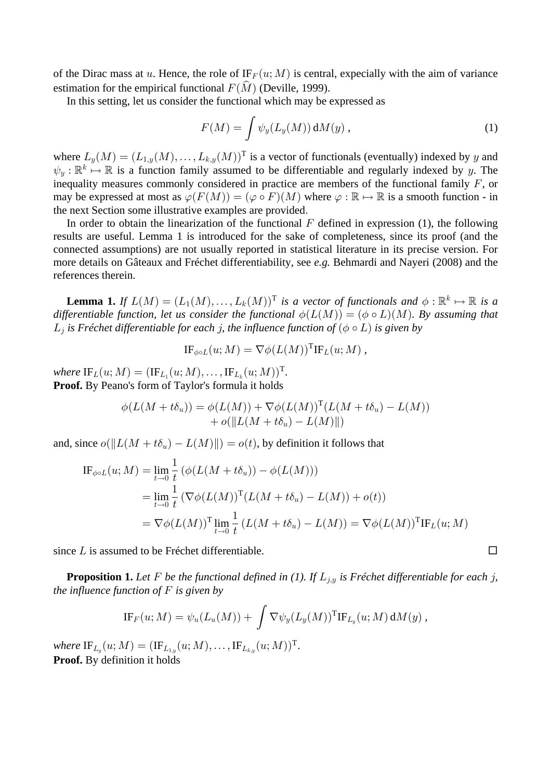of the Dirac mass at u. Hence, the role of  $IF_F(u; M)$  is central, expecially with the aim of variance estimation for the empirical functional  $F(\widehat{M})$  (Deville, 1999).

In this setting, let us consider the functional which may be expressed as

$$
F(M) = \int \psi_y(L_y(M)) dM(y), \qquad (1)
$$

where  $L_y(M) = (L_{1,y}(M), \ldots, L_{k,y}(M))^T$  is a vector of functionals (eventually) indexed by y and  $\psi_y : \mathbb{R}^k \mapsto \mathbb{R}$  is a function family assumed to be differentiable and regularly indexed by y. The inequality measures commonly considered in practice are members of the functional family  $F$ , or may be expressed at most as  $\varphi(F(M)) = (\varphi \circ F)(M)$  where  $\varphi : \mathbb{R} \mapsto \mathbb{R}$  is a smooth function - in the next Section some illustrative examples are provided.

In order to obtain the linearization of the functional  $F$  defined in expression (1), the following results are useful. Lemma 1 is introduced for the sake of completeness, since its proof (and the connected assumptions) are not usually reported in statistical literature in its precise version. For more details on Gâteaux and Fréchet differentiability, see e.g. Behmardi and Nayeri (2008) and the references therein.

**Lemma 1.** If  $L(M) = (L_1(M), \ldots, L_k(M))^T$  is a vector of functionals and  $\phi : \mathbb{R}^k \mapsto \mathbb{R}$  is a *differentiable function, let us consider the functional*  $\phi(L(M)) = (\phi \circ L)(M)$ . By assuming that  $L_i$  is Fréchet differentiable for each *j*, the influence function of  $(\phi \circ L)$  is given by

$$
\text{IF}_{\phi \circ L}(u; M) = \nabla \phi(L(M))^{\text{T}} \text{IF}_L(u; M) ,
$$

where  $\text{IF}_L(u;M) = (\text{IF}_{L_1}(u;M), \ldots, \text{IF}_{L_k}(u;M))^{\text{T}}$ . **Proof.** By Peano's form of Taylor's formula it holds

$$
\phi(L(M+t\delta_u)) = \phi(L(M)) + \nabla\phi(L(M))^{\mathrm{T}}(L(M+t\delta_u) - L(M)) + o(||L(M+t\delta_u) - L(M)||)
$$

and, since  $o(||L(M + t\delta_u) - L(M)||) = o(t)$ , by definition it follows that

$$
\begin{split} \text{IF}_{\phi \circ L}(u; M) &= \lim_{t \to 0} \frac{1}{t} \left( \phi(L(M + t\delta_u)) - \phi(L(M)) \right) \\ &= \lim_{t \to 0} \frac{1}{t} \left( \nabla \phi(L(M))^{\text{T}} (L(M + t\delta_u) - L(M)) + o(t) \right) \\ &= \nabla \phi(L(M))^{\text{T}} \lim_{t \to 0} \frac{1}{t} \left( L(M + t\delta_u) - L(M) \right) = \nabla \phi(L(M))^{\text{T}} \text{IF}_L(u; M) \end{split}
$$

since L is assumed to be Fréchet differentiable.  $\Box$ 

**Proposition 1.** Let F be the functional defined in (1). If  $L_{i,y}$  is Fréchet differentiable for each j, *the influence function of*  $F$  *is given by* 

$$
\mathrm{IF}_F(u;M)=\psi_u(L_u(M))+\int \nabla \psi_y(L_y(M))^{\mathrm{T}} \mathrm{IF}_{L_y}(u;M)\,dM(y),
$$

*where*  $IF_{L_n}(u; M) = (IF_{L_{1,n}}(u; M), \ldots, IF_{L_{k,n}}(u; M))$ <sup>T</sup>. **Proof.** By definition it holds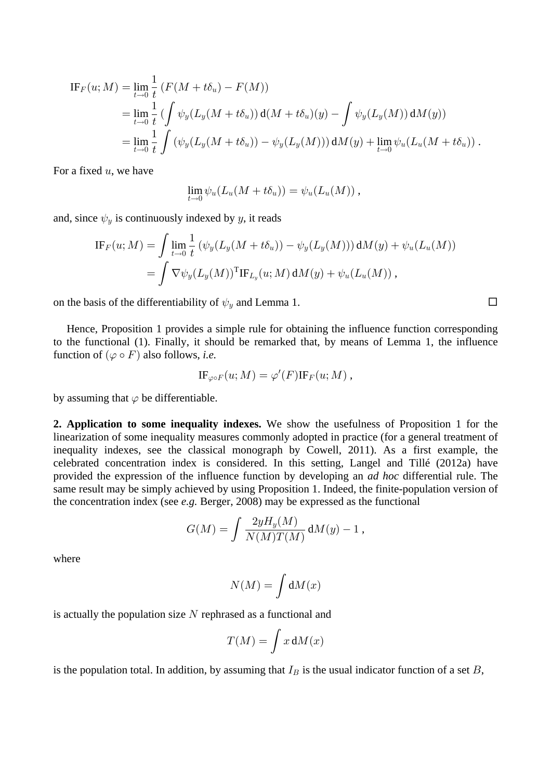$$
\begin{split} \text{IF}_{F}(u;M) &= \lim_{t \to 0} \frac{1}{t} \left( F(M + t\delta_{u}) - F(M) \right) \\ &= \lim_{t \to 0} \frac{1}{t} \left( \int \psi_{y}(L_{y}(M + t\delta_{u})) \, \mathrm{d}(M + t\delta_{u})(y) - \int \psi_{y}(L_{y}(M)) \, \mathrm{d}(M_{y}) \right) \\ &= \lim_{t \to 0} \frac{1}{t} \int \left( \psi_{y}(L_{y}(M + t\delta_{u})) - \psi_{y}(L_{y}(M)) \right) \mathrm{d}(M_{y}) + \lim_{t \to 0} \psi_{u}(L_{u}(M + t\delta_{u})) \, . \end{split}
$$

For a fixed  $u$ , we have

$$
\lim_{t\to 0}\psi_u(L_u(M+t\delta_u))=\psi_u(L_u(M)),
$$

and, since  $\psi_y$  is continuously indexed by y, it reads

$$
\text{IF}_F(u; M) = \int \lim_{t \to 0} \frac{1}{t} \left( \psi_y(L_y(M + t\delta_u)) - \psi_y(L_y(M)) \right) dM(y) + \psi_u(L_u(M))
$$
  
= 
$$
\int \nabla \psi_y(L_y(M))^{\text{T}} \text{IF}_{L_y}(u; M) dM(y) + \psi_u(L_u(M)),
$$

on the basis of the differentiability of  $\psi_y$  and Lemma 1.  $\Box$ 

Hence, Proposition 1 provides a simple rule for obtaining the influence function corresponding to the functional (1). Finally, it should be remarked that, by means of Lemma 1, the influence function of  $(\varphi \circ F)$  also follows, *i.e.* 

$$
\text{IF}_{\varphi \circ F}(u; M) = \varphi'(F) \text{IF}_F(u; M) ,
$$

by assuming that  $\varphi$  be differentiable.

**2. Application to some inequality indexes.** We show the usefulness of Proposition 1 for the linearization of some inequality measures commonly adopted in practice (for a general treatment of inequality indexes, see the classical monograph by Cowell, 2011). As a first example, the celebrated concentration index is considered. In this setting, Langel and Tillé  $(2012a)$  have provided the expression of the influence function by developing an *ad hoc* differential rule. The same result may be simply achieved by using Proposition 1. Indeed, the finite-population version of the concentration index (see  $e.g.$  Berger, 2008) may be expressed as the functional

$$
G(M) = \int \frac{2yH_y(M)}{N(M)T(M)} dM(y) - 1,
$$

where

$$
N(M) = \int \mathrm{d}M(x)
$$

is actually the population size  $N$  rephrased as a functional and

$$
T(M) = \int x \, dM(x)
$$

is the population total. In addition, by assuming that  $I_B$  is the usual indicator function of a set  $B$ ,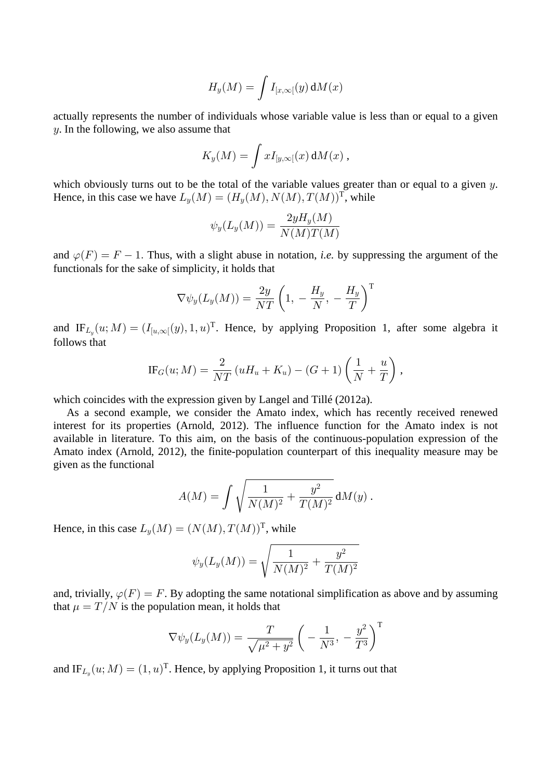$$
H_y(M) = \int I_{[x,\infty[}(y) dM(x))
$$

actually represents the number of individuals whose variable value is less than or equal to a given  $\gamma$ . In the following, we also assume that

$$
K_y(M)=\int x I_{[y,\infty[}(x)\,{\rm d} M(x)\,,
$$

which obviously turns out to be the total of the variable values greater than or equal to a given  $y$ . Hence, in this case we have  $L_v(M) = (H_u(M), N(M), T(M))^T$ , while

$$
\psi_y(L_y(M)) = \frac{2yH_y(M)}{N(M)T(M)}
$$

and  $\varphi(F) = F - 1$ . Thus, with a slight abuse in notation, *i.e.* by suppressing the argument of the functionals for the sake of simplicity, it holds that

$$
\nabla \psi_y(L_y(M)) = \frac{2y}{NT} \left( 1, -\frac{H_y}{N}, -\frac{H_y}{T} \right)^T
$$

and IF<sub>L<sub>v</sub></sub> $(u; M) = (I_{[u,\infty)}(y), 1, u)^T$ . Hence, by applying Proposition 1, after some algebra it follows that

$$
\text{IF}_G(u; M) = \frac{2}{NT} \left( uH_u + K_u \right) - (G+1) \left( \frac{1}{N} + \frac{u}{T} \right),
$$

which coincides with the expression given by Langel and Tillé (2012a).

As a second example, we consider the Amato index, which has recently received renewed interest for its properties (Arnold, 2012). The influence function for the Amato index is not available in literature. To this aim, on the basis of the continuous-population expression of the Amato index (Arnold, 2012), the finite-population counterpart of this inequality measure may be given as the functional

$$
A(M) = \int \sqrt{\frac{1}{N(M)^2} + \frac{y^2}{T(M)^2}} \, dM(y) \, .
$$

Hence, in this case  $L_y(M) = (N(M), T(M))^T$ , while

$$
\psi_y(L_y(M)) = \sqrt{\frac{1}{N(M)^2} + \frac{y^2}{T(M)^2}}
$$

and, trivially,  $\varphi(F) = F$ . By adopting the same notational simplification as above and by assuming that  $\mu = T/N$  is the population mean, it holds that

$$
\nabla \psi_y(L_y(M)) = \frac{T}{\sqrt{\mu^2 + y^2}} \left( -\frac{1}{N^3}, -\frac{y^2}{T^3} \right)^T
$$

and  $IF_{L_y}(u; M) = (1, u)<sup>T</sup>$ . Hence, by applying Proposition 1, it turns out that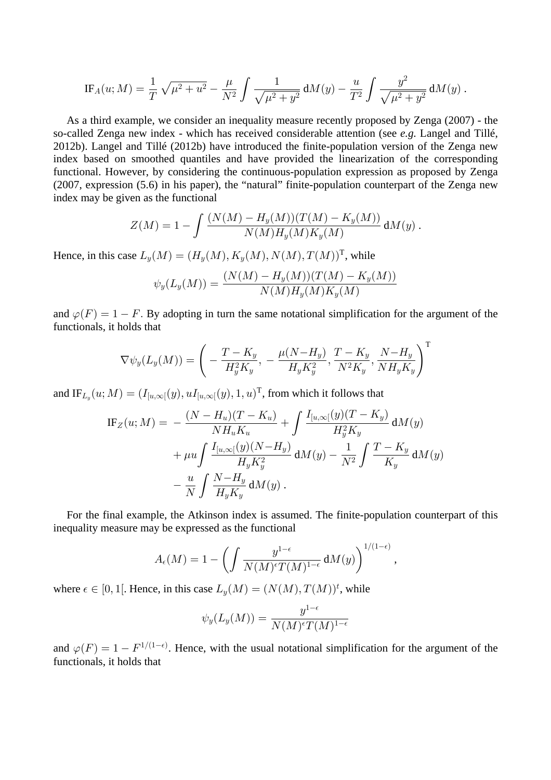$$
IF_A(u; M) = \frac{1}{T} \sqrt{\mu^2 + u^2} - \frac{\mu}{N^2} \int \frac{1}{\sqrt{\mu^2 + y^2}} dM(y) - \frac{u}{T^2} \int \frac{y^2}{\sqrt{\mu^2 + y^2}} dM(y)
$$

As a third example, we consider an inequality measure recently proposed by Zenga (2007) - the so-called Zenga new index - which has received considerable attention (see  $e.g.$  Langel and Tillé, 2012b). Langel and Tillé (2012b) have introduced the finite-population version of the Zenga new index based on smoothed quantiles and have provided the linearization of the corresponding functional. However, by considering the continuous-population expression as proposed by Zenga (2007, expression (5.6) in his paper), the "natural" finite-population counterpart of the Zenga new index may be given as the functional

$$
Z(M) = 1 - \int \frac{(N(M) - H_y(M))(T(M) - K_y(M))}{N(M)H_y(M)K_y(M)} dM(y) .
$$

Hence, in this case  $L_v(M) = (H_v(M), K_v(M), N(M), T(M))^T$ , while

$$
\psi_y(L_y(M)) = \frac{(N(M) - H_y(M))(T(M) - K_y(M))}{N(M)H_y(M)K_y(M)}
$$

and  $\varphi(F) = 1 - F$ . By adopting in turn the same notational simplification for the argument of the functionals, it holds that

$$
\nabla \psi_y(L_y(M)) = \left( -\frac{T - K_y}{H_y^2 K_y}, -\frac{\mu(N - H_y)}{H_y K_y^2}, \frac{T - K_y}{N^2 K_y}, \frac{N - H_y}{NH_y K_y} \right)^T
$$

and IF<sub>L<sub>u</sub></sub> $(u; M) = (I_{[u,\infty[}(y), uI_{[u,\infty[}(y), 1, u)]^T)$ , from which it follows that

IF<sub>Z</sub>(u; M) = 
$$
- \frac{(N - H_u)(T - K_u)}{NH_u K_u} + \int \frac{I_{[u, \infty]}(y)(T - K_y)}{H_y^2 K_y} dM(y) + \mu u \int \frac{I_{[u, \infty]}(y)(N - H_y)}{H_y K_y^2} dM(y) - \frac{1}{N^2} \int \frac{T - K_y}{K_y} dM(y) - \frac{u}{N} \int \frac{N - H_y}{H_y K_y} dM(y).
$$

For the final example, the Atkinson index is assumed. The finite-population counterpart of this inequality measure may be expressed as the functional

$$
A_{\epsilon}(M) = 1 - \left( \int \frac{y^{1-\epsilon}}{N(M)^{\epsilon} T(M)^{1-\epsilon}} \, \mathrm{d}M(y) \right)^{1/(1-\epsilon)}
$$

where  $\epsilon \in [0,1]$ . Hence, in this case  $L_y(M) = (N(M), T(M))^t$ , while

$$
\psi_y(L_y(M)) = \frac{y^{1-\epsilon}}{N(M)^{\epsilon}T(M)^{1-\epsilon}}
$$

and  $\varphi(F) = 1 - F^{1/(1-\epsilon)}$ . Hence, with the usual notational simplification for the argument of the functionals, it holds that